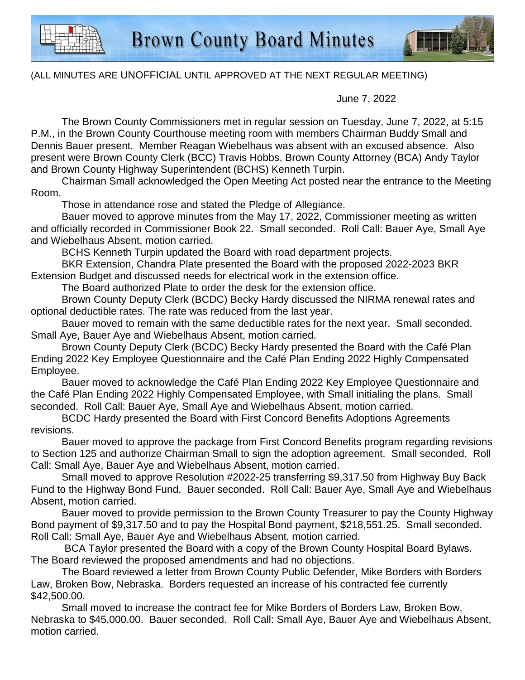

## (ALL MINUTES ARE UNOFFICIAL UNTIL APPROVED AT THE NEXT REGULAR MEETING)

June 7, 2022

The Brown County Commissioners met in regular session on Tuesday, June 7, 2022, at 5:15 P.M., in the Brown County Courthouse meeting room with members Chairman Buddy Small and Dennis Bauer present. Member Reagan Wiebelhaus was absent with an excused absence. Also present were Brown County Clerk (BCC) Travis Hobbs, Brown County Attorney (BCA) Andy Taylor and Brown County Highway Superintendent (BCHS) Kenneth Turpin.

Chairman Small acknowledged the Open Meeting Act posted near the entrance to the Meeting Room.

Those in attendance rose and stated the Pledge of Allegiance.

Bauer moved to approve minutes from the May 17, 2022, Commissioner meeting as written and officially recorded in Commissioner Book 22. Small seconded. Roll Call: Bauer Aye, Small Aye and Wiebelhaus Absent, motion carried.

BCHS Kenneth Turpin updated the Board with road department projects.

BKR Extension, Chandra Plate presented the Board with the proposed 2022-2023 BKR Extension Budget and discussed needs for electrical work in the extension office.

The Board authorized Plate to order the desk for the extension office.

Brown County Deputy Clerk (BCDC) Becky Hardy discussed the NIRMA renewal rates and optional deductible rates. The rate was reduced from the last year.

Bauer moved to remain with the same deductible rates for the next year. Small seconded. Small Aye, Bauer Aye and Wiebelhaus Absent, motion carried.

Brown County Deputy Clerk (BCDC) Becky Hardy presented the Board with the Café Plan Ending 2022 Key Employee Questionnaire and the Café Plan Ending 2022 Highly Compensated Employee.

Bauer moved to acknowledge the Café Plan Ending 2022 Key Employee Questionnaire and the Café Plan Ending 2022 Highly Compensated Employee, with Small initialing the plans. Small seconded. Roll Call: Bauer Aye, Small Aye and Wiebelhaus Absent, motion carried.

BCDC Hardy presented the Board with First Concord Benefits Adoptions Agreements revisions.

Bauer moved to approve the package from First Concord Benefits program regarding revisions to Section 125 and authorize Chairman Small to sign the adoption agreement. Small seconded. Roll Call: Small Aye, Bauer Aye and Wiebelhaus Absent, motion carried.

Small moved to approve Resolution #2022-25 transferring \$9,317.50 from Highway Buy Back Fund to the Highway Bond Fund. Bauer seconded. Roll Call: Bauer Aye, Small Aye and Wiebelhaus Absent, motion carried.

 Bauer moved to provide permission to the Brown County Treasurer to pay the County Highway Bond payment of \$9,317.50 and to pay the Hospital Bond payment, \$218,551.25. Small seconded. Roll Call: Small Aye, Bauer Aye and Wiebelhaus Absent, motion carried.

 BCA Taylor presented the Board with a copy of the Brown County Hospital Board Bylaws. The Board reviewed the proposed amendments and had no objections.

The Board reviewed a letter from Brown County Public Defender, Mike Borders with Borders Law, Broken Bow, Nebraska. Borders requested an increase of his contracted fee currently \$42,500.00.

Small moved to increase the contract fee for Mike Borders of Borders Law, Broken Bow, Nebraska to \$45,000.00. Bauer seconded. Roll Call: Small Aye, Bauer Aye and Wiebelhaus Absent, motion carried.